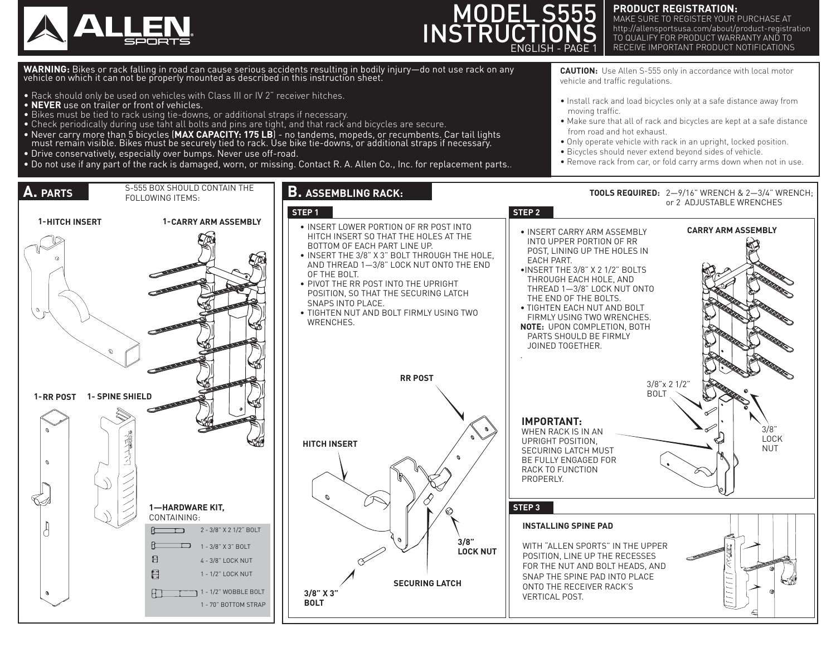



#### **PRODUCT REGISTRATION:**

MAKE SURE TO REGISTER YOUR PURCHASE AT http://allensportsusa.com/about/product-registration TO QUALIFY FOR PRODUCT WARRANTY AND TO RECEIVE IMPORTANT PRODUCT NOTIFICATIONS

**WARNING:** Bikes or rack falling in road can cause serious accidents resulting in bodily injury—do not use rack on any<br>vehicle on which it can not be properly mounted as described in this instruction sheet.

- Rack should only be used on vehicles with Class III or  $\overline{W}$  2" receiver hitches.
- **NEVER** use on trailer or front of vehicles.
- Bikes must be tied to rack using tie-downs, or additional straps if necessary.
- Check periodically during use taht all bolts and pins are tight, and that rack and bicycles are secure.
- Never carry more than 5 bicycles (MAX CAPACITY: 175 LB) no tandems, mopeds, or recumbents. Car tail lights<br>must remain visible. Bikes must be securely tied to rack. Use bike tie-downs, or additional straps if necessary
- Drive conservatively, especially over bumps. Never use off-road.
- Do not use if any part of the rack is damaged, worn, or missing. Contact R. A. Allen Co., Inc. for replacement parts..

**CAUTION:** Use Allen S-555 only in accordance with local motor vehicle and traffic regulations.

- Install rack and load bicycles only at a safe distance away from moving traffic.
- Make sure that all of rack and bicycles are kept at a safe distance from road and hot exhaust.
- Only operate vehicle with rack in an upright, locked position.
- Bicycles should never extend beyond sides of vehicle.
- Remove rack from car, or fold carry arms down when not in use.